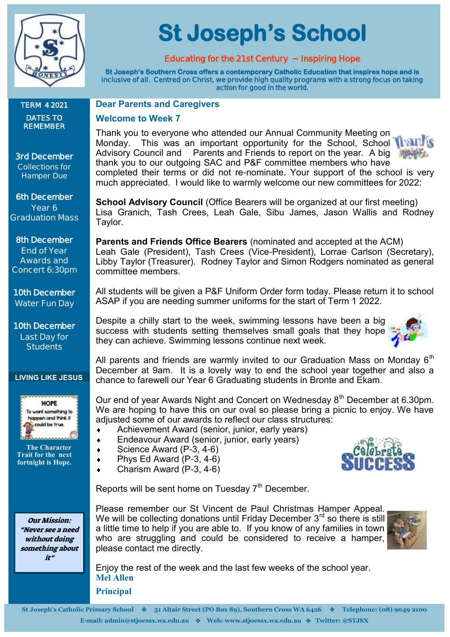

**TERM 4 2021 DATES TO REMEMBER** 

**3rd December Collections for Hamper Due** 

**6th December Year 6 Graduation Mass**

**8th December End of Year Awards and Concert 6:30pm**

**10th December Water Fun Day**

**10th December Last Day for Students**

 **The Character Trait for the next fortnight is Hope.**

Our Mission: "Never see a need without doing something about it"

**LIVING LIKE JESUS**

HOPF To want something to happen and think it could be true

**St Joseph's School** 

### **Educating for the 21st Century ~ Inspiring Hope**

**St Joseph's Southern Cross offers a contemporary Catholic Education that inspires hope and is inclusive of all. Centred on Christ, we provide high quality programs with a strong focus on taking action for good in the world.** 

### **Dear Parents and Caregivers**

#### **Welcome to Week 7**

Thank you to everyone who attended our Annual Community Meeting on Monday. This was an important opportunity for the School, School Thalk Advisory Council and Parents and Friends to report on the year. A big thank you to our outgoing SAC and P&F committee members who have completed their terms or did not re-nominate. Your support of the school is very much appreciated. I would like to warmly welcome our new committees for 2022:

**School Advisory Council** (Office Bearers will be organized at our first meeting) Lisa Granich, Tash Crees, Leah Gale, Sibu James, Jason Wallis and Rodney Taylor.

**Parents and Friends Office Bearers** (nominated and accepted at the ACM) Leah Gale (President), Tash Crees (Vice-President), Lorrae Carlson (Secretary), Libby Taylor (Treasurer). Rodney Taylor and Simon Rodgers nominated as general committee members.

All students will be given a P&F Uniform Order form today. Please return it to school ASAP if you are needing summer uniforms for the start of Term 1 2022.

Despite a chilly start to the week, swimming lessons have been a big success with students setting themselves small goals that they hope they can achieve. Swimming lessons continue next week.



Our end of year Awards Night and Concert on Wednesday 8<sup>th</sup> December at 6.30pm. We are hoping to have this on our oval so please bring a picnic to enjoy. We have adjusted some of our awards to reflect our class structures:

- Achievement Award (senior, junior, early years)
- Endeavour Award (senior, junior, early years)
- $\bullet$  Science Award (P-3, 4-6)
- $\bullet$  Phys Ed Award (P-3, 4-6)
	- Charism Award (P-3, 4-6)



Reports will be sent home on Tuesday  $7<sup>th</sup>$  December.

Please remember our St Vincent de Paul Christmas Hamper Appeal. We will be collecting donations until Friday December  $3^{rd}$  so there is still a little time to help if you are able to. If you know of any families in town who are struggling and could be considered to receive a hamper, please contact me directly.



Enjoy the rest of the week and the last few weeks of the school year. **Mel Allen** 

**Principal**

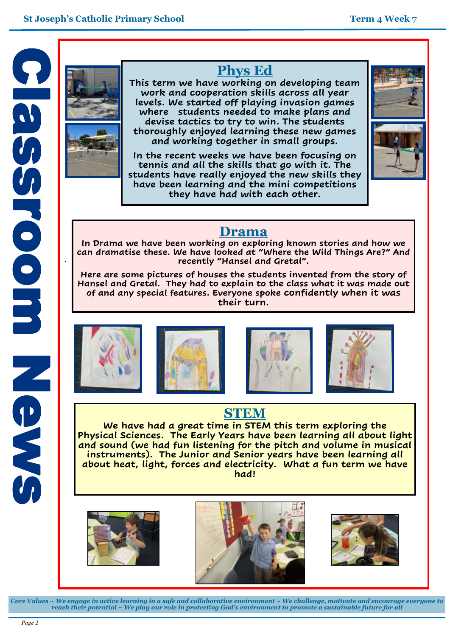

.

# **Phys Ed**

**This term we have working on developing team work and cooperation skills across all year levels. We started off playing invasion games where students needed to make plans and devise tactics to try to win. The students thoroughly enjoyed learning these new games and working together in small groups.**

**In the recent weeks we have been focusing on tennis and all the skills that go with it. The students have really enjoyed the new skills they have been learning and the mini competitions they have had with each other.**



# **Drama**

**In Drama we have been working on exploring known stories and how we can dramatise these. We have looked at "Where the Wild Things Are?" And recently "Hansel and Gretal".**

**Here are some pictures of houses the students invented from the story of Hansel and Gretal. They had to explain to the class what it was made out of and any special features. Everyone spoke confidently when it was their turn.**









# **STEM**

**We have had a great time in STEM this term exploring the Physical Sciences. The Early Years have been learning all about light and sound (we had fun listening for the pitch and volume in musical instruments). The Junior and Senior years have been learning all about heat, light, forces and electricity. What a fun term we have had!** 







*Core Values ~ We engage in active learning in a safe and collaborative environment ~ We challenge, motivate and encourage everyone to reach their potential ~ We play our role in protecting God's environment to promote a sustainable future for all*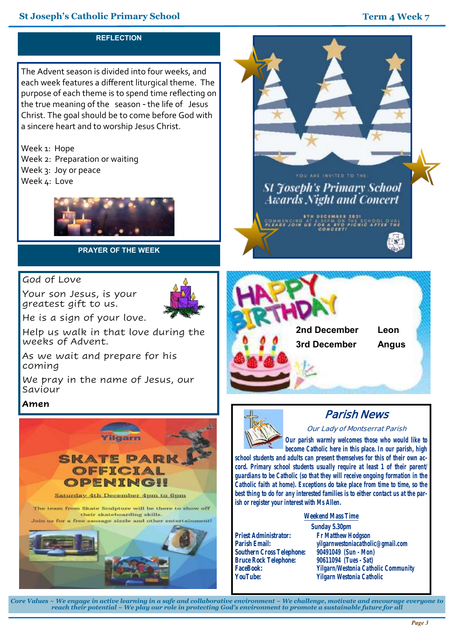#### **St Joseph's Catholic Primary School Term 4 Week 7**



*Core Values ~ We engage in active learning in a safe and collaborative environment ~ We challenge, motivate and encourage everyone to reach their potential ~ We play our role in protecting God's environment to promote a sustainable future for all*

**Yilgarn Westonia Catholic**